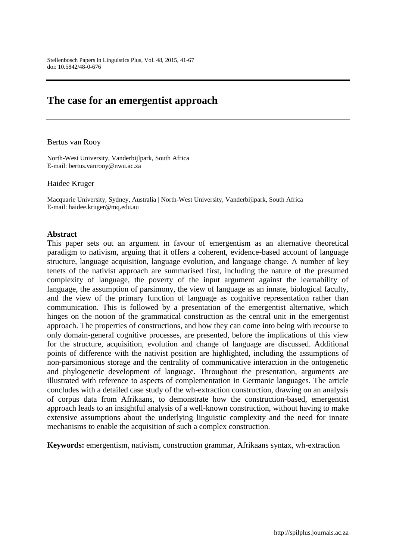# **The case for an emergentist approach**

#### Bertus van Rooy

North-West University, Vanderbijlpark, South Africa E-mail: [bertus.vanrooy@nwu.ac.za](mailto:bertus.vanrooy@nwu.ac.za)

#### Haidee Kruger

Macquarie University, Sydney, Australia | North-West University, Vanderbijlpark, South Africa E-mail: [haidee.kruger@mq.edu.au](mailto:haidee.kruger@mq.edu.au)

#### **Abstract**

This paper sets out an argument in favour of emergentism as an alternative theoretical paradigm to nativism, arguing that it offers a coherent, evidence-based account of language structure, language acquisition, language evolution, and language change. A number of key tenets of the nativist approach are summarised first, including the nature of the presumed complexity of language, the poverty of the input argument against the learnability of language, the assumption of parsimony, the view of language as an innate, biological faculty, and the view of the primary function of language as cognitive representation rather than communication. This is followed by a presentation of the emergentist alternative, which hinges on the notion of the grammatical construction as the central unit in the emergentist approach. The properties of constructions, and how they can come into being with recourse to only domain-general cognitive processes, are presented, before the implications of this view for the structure, acquisition, evolution and change of language are discussed. Additional points of difference with the nativist position are highlighted, including the assumptions of non-parsimonious storage and the centrality of communicative interaction in the ontogenetic and phylogenetic development of language. Throughout the presentation, arguments are illustrated with reference to aspects of complementation in Germanic languages. The article concludes with a detailed case study of the wh-extraction construction, drawing on an analysis of corpus data from Afrikaans, to demonstrate how the construction-based, emergentist approach leads to an insightful analysis of a well-known construction, without having to make extensive assumptions about the underlying linguistic complexity and the need for innate mechanisms to enable the acquisition of such a complex construction.

**Keywords:** emergentism, nativism, construction grammar, Afrikaans syntax, wh-extraction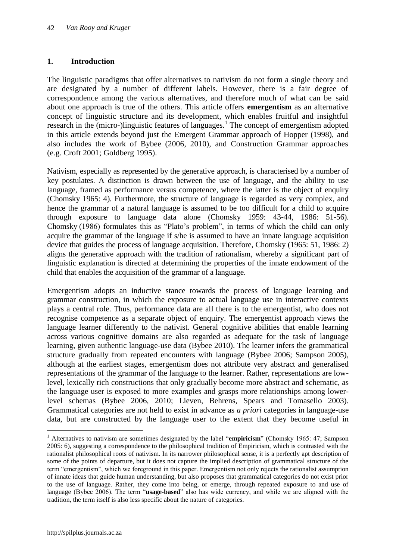# **1. Introduction**

The linguistic paradigms that offer alternatives to nativism do not form a single theory and are designated by a number of different labels. However, there is a fair degree of correspondence among the various alternatives, and therefore much of what can be said about one approach is true of the others. This article offers **emergentism** as an alternative concept of linguistic structure and its development, which enables fruitful and insightful research in the (micro-)linguistic features of languages.<sup>1</sup> The concept of emergentism adopted in this article extends beyond just the Emergent Grammar approach of Hopper (1998), and also includes the work of Bybee (2006, 2010), and Construction Grammar approaches (e.g. Croft 2001; Goldberg 1995).

Nativism, especially as represented by the generative approach, is characterised by a number of key postulates. A distinction is drawn between the use of language, and the ability to use language, framed as performance versus competence, where the latter is the object of enquiry (Chomsky 1965: 4). Furthermore, the structure of language is regarded as very complex, and hence the grammar of a natural language is assumed to be too difficult for a child to acquire through exposure to language data alone (Chomsky 1959: 43-44, 1986: 51-56). Chomsky (1986) formulates this as "Plato"s problem", in terms of which the child can only acquire the grammar of the language if s/he is assumed to have an innate language acquisition device that guides the process of language acquisition. Therefore, Chomsky (1965: 51, 1986: 2) aligns the generative approach with the tradition of rationalism, whereby a significant part of linguistic explanation is directed at determining the properties of the innate endowment of the child that enables the acquisition of the grammar of a language.

Emergentism adopts an inductive stance towards the process of language learning and grammar construction, in which the exposure to actual language use in interactive contexts plays a central role. Thus, performance data are all there is to the emergentist, who does not recognise competence as a separate object of enquiry. The emergentist approach views the language learner differently to the nativist. General cognitive abilities that enable learning across various cognitive domains are also regarded as adequate for the task of language learning, given authentic language-use data (Bybee 2010). The learner infers the grammatical structure gradually from repeated encounters with language (Bybee 2006; Sampson 2005), although at the earliest stages, emergentism does not attribute very abstract and generalised representations of the grammar of the language to the learner. Rather, representations are lowlevel, lexically rich constructions that only gradually become more abstract and schematic, as the language user is exposed to more examples and grasps more relationships among lowerlevel schemas (Bybee 2006, 2010; Lieven, Behrens, Spears and Tomasello 2003). Grammatical categories are not held to exist in advance as *a priori* categories in language-use data, but are constructed by the language user to the extent that they become useful in

 $\overline{a}$ 

<sup>&</sup>lt;sup>1</sup> Alternatives to nativism are sometimes designated by the label "**empiricism**" (Chomsky 1965: 47; Sampson 2005: 6), suggesting a correspondence to the philosophical tradition of Empiricism, which is contrasted with the rationalist philosophical roots of nativism. In its narrower philosophical sense, it is a perfectly apt description of some of the points of departure, but it does not capture the implied description of grammatical structure of the term "emergentism", which we foreground in this paper. Emergentism not only rejects the rationalist assumption of innate ideas that guide human understanding, but also proposes that grammatical categories do not exist prior to the use of language. Rather, they come into being, or emerge, through repeated exposure to and use of language (Bybee 2006). The term "**usage-based**" also has wide currency, and while we are aligned with the tradition, the term itself is also less specific about the nature of categories.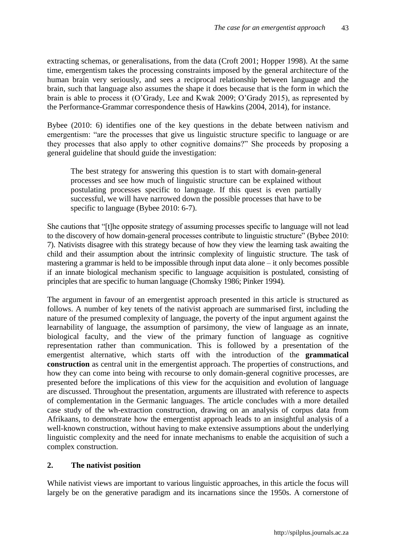extracting schemas, or generalisations, from the data (Croft 2001; Hopper 1998). At the same time, emergentism takes the processing constraints imposed by the general architecture of the human brain very seriously, and sees a reciprocal relationship between language and the brain, such that language also assumes the shape it does because that is the form in which the brain is able to process it (O"Grady, Lee and Kwak 2009; O"Grady 2015), as represented by the Performance-Grammar correspondence thesis of Hawkins (2004, 2014), for instance.

Bybee (2010: 6) identifies one of the key questions in the debate between nativism and emergentism: "are the processes that give us linguistic structure specific to language or are they processes that also apply to other cognitive domains?" She proceeds by proposing a general guideline that should guide the investigation:

The best strategy for answering this question is to start with domain-general processes and see how much of linguistic structure can be explained without postulating processes specific to language. If this quest is even partially successful, we will have narrowed down the possible processes that have to be specific to language (Bybee 2010: 6-7).

She cautions that "[t]he opposite strategy of assuming processes specific to language will not lead to the discovery of how domain-general processes contribute to linguistic structure" (Bybee 2010: 7). Nativists disagree with this strategy because of how they view the learning task awaiting the child and their assumption about the intrinsic complexity of linguistic structure. The task of mastering a grammar is held to be impossible through input data alone – it only becomes possible if an innate biological mechanism specific to language acquisition is postulated, consisting of principles that are specific to human language (Chomsky 1986; Pinker 1994).

The argument in favour of an emergentist approach presented in this article is structured as follows. A number of key tenets of the nativist approach are summarised first, including the nature of the presumed complexity of language, the poverty of the input argument against the learnability of language, the assumption of parsimony, the view of language as an innate, biological faculty, and the view of the primary function of language as cognitive representation rather than communication. This is followed by a presentation of the emergentist alternative, which starts off with the introduction of the **grammatical construction** as central unit in the emergentist approach. The properties of constructions, and how they can come into being with recourse to only domain-general cognitive processes, are presented before the implications of this view for the acquisition and evolution of language are discussed. Throughout the presentation, arguments are illustrated with reference to aspects of complementation in the Germanic languages. The article concludes with a more detailed case study of the wh-extraction construction, drawing on an analysis of corpus data from Afrikaans, to demonstrate how the emergentist approach leads to an insightful analysis of a well-known construction, without having to make extensive assumptions about the underlying linguistic complexity and the need for innate mechanisms to enable the acquisition of such a complex construction.

## **2. The nativist position**

While nativist views are important to various linguistic approaches, in this article the focus will largely be on the generative paradigm and its incarnations since the 1950s. A cornerstone of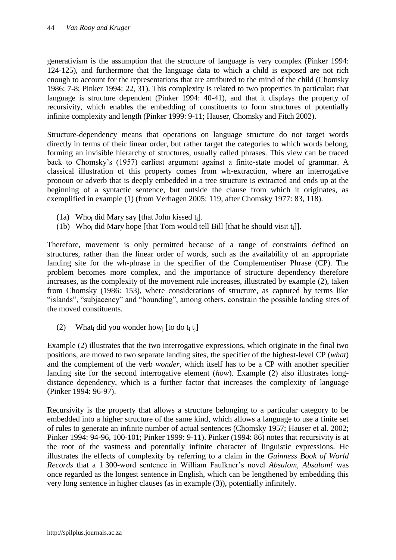generativism is the assumption that the structure of language is very complex (Pinker 1994: 124-125), and furthermore that the language data to which a child is exposed are not rich enough to account for the representations that are attributed to the mind of the child (Chomsky 1986: 7-8; Pinker 1994: 22, 31). This complexity is related to two properties in particular: that language is structure dependent (Pinker 1994: 40-41), and that it displays the property of recursivity, which enables the embedding of constituents to form structures of potentially infinite complexity and length (Pinker 1999: 9-11; Hauser, Chomsky and Fitch 2002).

Structure-dependency means that operations on language structure do not target words directly in terms of their linear order, but rather target the categories to which words belong, forming an invisible hierarchy of structures, usually called phrases. This view can be traced back to Chomsky"s (1957) earliest argument against a finite-state model of grammar. A classical illustration of this property comes from wh-extraction, where an interrogative pronoun or adverb that is deeply embedded in a tree structure is extracted and ends up at the beginning of a syntactic sentence, but outside the clause from which it originates, as exemplified in example (1) (from Verhagen 2005: 119, after Chomsky 1977: 83, 118).

- (1a) Who<sub>i</sub> did Mary say [that John kissed  $t_i$ ].
- (1b) Who<sub>i</sub> did Mary hope [that Tom would tell Bill [that he should visit  $t_i$ ]].

Therefore, movement is only permitted because of a range of constraints defined on structures, rather than the linear order of words, such as the availability of an appropriate landing site for the wh-phrase in the specifier of the Complementiser Phrase (CP). The problem becomes more complex, and the importance of structure dependency therefore increases, as the complexity of the movement rule increases, illustrated by example (2), taken from Chomsky (1986: 153), where considerations of structure, as captured by terms like "islands", "subjacency" and "bounding", among others, constrain the possible landing sites of the moved constituents.

(2) What<sub>i</sub> did you wonder how<sub>i</sub> [to do t<sub>i</sub> t<sub>i</sub>]

Example (2) illustrates that the two interrogative expressions, which originate in the final two positions, are moved to two separate landing sites, the specifier of the highest-level CP (*what*) and the complement of the verb *wonder*, which itself has to be a CP with another specifier landing site for the second interrogative element (*how*). Example (2) also illustrates longdistance dependency, which is a further factor that increases the complexity of language (Pinker 1994: 96-97).

Recursivity is the property that allows a structure belonging to a particular category to be embedded into a higher structure of the same kind, which allows a language to use a finite set of rules to generate an infinite number of actual sentences (Chomsky 1957; Hauser et al. 2002; Pinker 1994: 94-96, 100-101; Pinker 1999: 9-11). Pinker (1994: 86) notes that recursivity is at the root of the vastness and potentially infinite character of linguistic expressions. He illustrates the effects of complexity by referring to a claim in the *Guinness Book of World Records* that a 1 300-word sentence in William Faulkner"s novel *Absalom, Absalom!* was once regarded as the longest sentence in English, which can be lengthened by embedding this very long sentence in higher clauses (as in example (3)), potentially infinitely.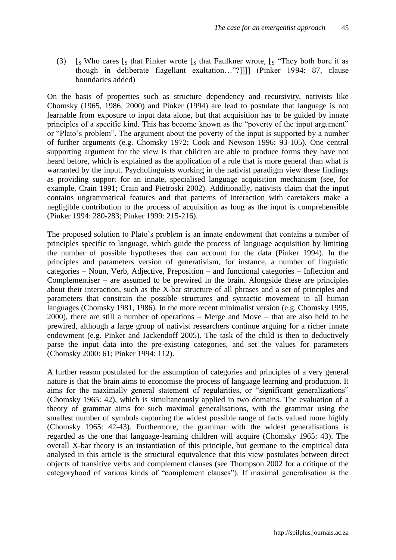(3)  $\int_S$  Who cares  $\int_S$  that Pinker wrote  $\int_S$  that Faulkner wrote,  $\int_S$  "They both bore it as though in deliberate flagellant exaltation…"?]]]] (Pinker 1994: 87, clause boundaries added)

On the basis of properties such as structure dependency and recursivity, nativists like Chomsky (1965, 1986, 2000) and Pinker (1994) are lead to postulate that language is not learnable from exposure to input data alone, but that acquisition has to be guided by innate principles of a specific kind. This has become known as the "poverty of the input argument" or "Plato"s problem". The argument about the poverty of the input is supported by a number of further arguments (e.g. Chomsky 1972; Cook and Newson 1996: 93-105). One central supporting argument for the view is that children are able to produce forms they have not heard before, which is explained as the application of a rule that is more general than what is warranted by the input. Psycholinguists working in the nativist paradigm view these findings as providing support for an innate, specialised language acquisition mechanism (see, for example, Crain 1991; Crain and Pietroski 2002). Additionally, nativists claim that the input contains ungrammatical features and that patterns of interaction with caretakers make a negligible contribution to the process of acquisition as long as the input is comprehensible (Pinker 1994: 280-283; Pinker 1999: 215-216).

The proposed solution to Plato"s problem is an innate endowment that contains a number of principles specific to language, which guide the process of language acquisition by limiting the number of possible hypotheses that can account for the data (Pinker 1994). In the principles and parameters version of generativism, for instance, a number of linguistic categories – Noun, Verb, Adjective, Preposition – and functional categories – Inflection and Complementiser – are assumed to be prewired in the brain. Alongside these are principles about their interaction, such as the X-bar structure of all phrases and a set of principles and parameters that constrain the possible structures and syntactic movement in all human languages (Chomsky 1981, 1986). In the more recent minimalist version (e.g. Chomsky 1995, 2000), there are still a number of operations – Merge and Move – that are also held to be prewired, although a large group of nativist researchers continue arguing for a richer innate endowment (e.g. Pinker and Jackendoff 2005). The task of the child is then to deductively parse the input data into the pre-existing categories, and set the values for parameters (Chomsky 2000: 61; Pinker 1994: 112).

A further reason postulated for the assumption of categories and principles of a very general nature is that the brain aims to economise the process of language learning and production. It aims for the maximally general statement of regularities, or "significant generalizations" (Chomsky 1965: 42), which is simultaneously applied in two domains. The evaluation of a theory of grammar aims for such maximal generalisations, with the grammar using the smallest number of symbols capturing the widest possible range of facts valued more highly (Chomsky 1965: 42-43). Furthermore, the grammar with the widest generalisations is regarded as the one that language-learning children will acquire (Chomsky 1965: 43). The overall X-bar theory is an instantiation of this principle, but germane to the empirical data analysed in this article is the structural equivalence that this view postulates between direct objects of transitive verbs and complement clauses (see Thompson 2002 for a critique of the categoryhood of various kinds of "complement clauses"). If maximal generalisation is the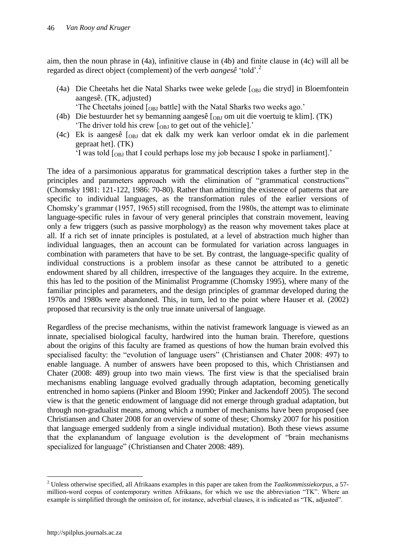aim, then the noun phrase in (4a), infinitive clause in (4b) and finite clause in (4c) will all be regarded as direct object (complement) of the verb *aangesê* "told".<sup>2</sup>

- (4a) Die Cheetahs het die Natal Sharks twee weke gelede  $\lceil_{OBJ}$  die stryd] in Bloemfontein aangesê. (TK, adjusted)
	- The Cheetahs joined  $\lceil_{\text{ORI}}$  battle] with the Natal Sharks two weeks ago."
- (4b) Die bestuurder het sy bemanning aangesê  $\alpha$  on uit die voertuig te klim]. (TK) The driver told his crew  $\lceil_{\text{OBJ}}\rceil$  to get out of the vehicle].
- (4c) Ek is aangesê [OBJ dat ek dalk my werk kan verloor omdat ek in die parlement gepraat het]. (TK)

'I was told  $\lceil_{\text{OBJ}}\rceil$  that I could perhaps lose my job because I spoke in parliament].'

The idea of a parsimonious apparatus for grammatical description takes a further step in the principles and parameters approach with the elimination of "grammatical constructions" (Chomsky 1981: 121-122, 1986: 70-80). Rather than admitting the existence of patterns that are specific to individual languages, as the transformation rules of the earlier versions of Chomsky"s grammar (1957, 1965) still recognised, from the 1980s, the attempt was to eliminate language-specific rules in favour of very general principles that constrain movement, leaving only a few triggers (such as passive morphology) as the reason why movement takes place at all. If a rich set of innate principles is postulated, at a level of abstraction much higher than individual languages, then an account can be formulated for variation across languages in combination with parameters that have to be set. By contrast, the language-specific quality of individual constructions is a problem insofar as these cannot be attributed to a genetic endowment shared by all children, irrespective of the languages they acquire. In the extreme, this has led to the position of the Minimalist Programme (Chomsky 1995), where many of the familiar principles and parameters, and the design principles of grammar developed during the 1970s and 1980s were abandoned. This, in turn, led to the point where Hauser et al. (2002) proposed that recursivity is the only true innate universal of language.

Regardless of the precise mechanisms, within the nativist framework language is viewed as an innate, specialised biological faculty, hardwired into the human brain. Therefore, questions about the origins of this faculty are framed as questions of how the human brain evolved this specialised faculty: the "evolution of language users" (Christiansen and Chater 2008: 497) to enable language. A number of answers have been proposed to this, which Christiansen and Chater (2008: 489) group into two main views. The first view is that the specialised brain mechanisms enabling language evolved gradually through adaptation, becoming genetically entrenched in homo sapiens (Pinker and Bloom 1990; Pinker and Jackendoff 2005). The second view is that the genetic endowment of language did not emerge through gradual adaptation, but through non-gradualist means, among which a number of mechanisms have been proposed (see Christiansen and Chater 2008 for an overview of some of these; Chomsky 2007 for his position that language emerged suddenly from a single individual mutation). Both these views assume that the explanandum of language evolution is the development of "brain mechanisms specialized for language" (Christiansen and Chater 2008: 489).

 $\overline{a}$ 

<sup>2</sup> Unless otherwise specified, all Afrikaans examples in this paper are taken from the *Taalkommissiekorpus*, a 57 million-word corpus of contemporary written Afrikaans, for which we use the abbreviation "TK". Where an example is simplified through the omission of, for instance, adverbial clauses, it is indicated as "TK, adjusted".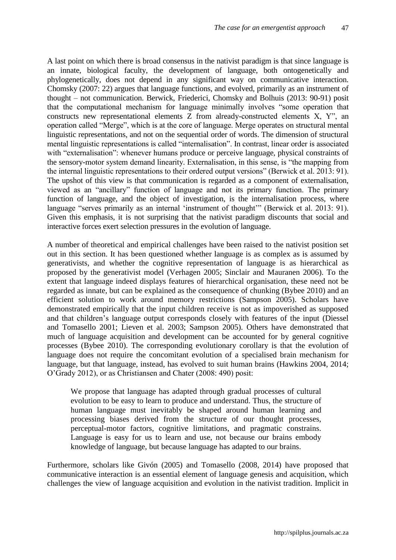A last point on which there is broad consensus in the nativist paradigm is that since language is an innate, biological faculty, the development of language, both ontogenetically and phylogenetically, does not depend in any significant way on communicative interaction. Chomsky (2007: 22) argues that language functions, and evolved, primarily as an instrument of thought – not communication. Berwick, Friederici, Chomsky and Bolhuis (2013: 90-91) posit that the computational mechanism for language minimally involves "some operation that constructs new representational elements Z from already-constructed elements X, Y", an operation called "Merge", which is at the core of language. Merge operates on structural mental linguistic representations, and not on the sequential order of words. The dimension of structural mental linguistic representations is called "internalisation". In contrast, linear order is associated with "externalisation": whenever humans produce or perceive language, physical constraints of the sensory-motor system demand linearity. Externalisation, in this sense, is "the mapping from the internal linguistic representations to their ordered output versions" (Berwick et al. 2013: 91). The upshot of this view is that communication is regarded as a component of externalisation, viewed as an "ancillary" function of language and not its primary function. The primary function of language, and the object of investigation, is the internalisation process, where language "serves primarily as an internal 'instrument of thought'" (Berwick et al. 2013: 91). Given this emphasis, it is not surprising that the nativist paradigm discounts that social and interactive forces exert selection pressures in the evolution of language.

A number of theoretical and empirical challenges have been raised to the nativist position set out in this section. It has been questioned whether language is as complex as is assumed by generativists, and whether the cognitive representation of language is as hierarchical as proposed by the generativist model (Verhagen 2005; Sinclair and Mauranen 2006). To the extent that language indeed displays features of hierarchical organisation, these need not be regarded as innate, but can be explained as the consequence of chunking (Bybee 2010) and an efficient solution to work around memory restrictions (Sampson 2005). Scholars have demonstrated empirically that the input children receive is not as impoverished as supposed and that children"s language output corresponds closely with features of the input (Diessel and Tomasello 2001; Lieven et al. 2003; Sampson 2005). Others have demonstrated that much of language acquisition and development can be accounted for by general cognitive processes (Bybee 2010). The corresponding evolutionary corollary is that the evolution of language does not require the concomitant evolution of a specialised brain mechanism for language, but that language, instead, has evolved to suit human brains (Hawkins 2004, 2014; O"Grady 2012), or as Christiansen and Chater (2008: 490) posit:

We propose that language has adapted through gradual processes of cultural evolution to be easy to learn to produce and understand. Thus, the structure of human language must inevitably be shaped around human learning and processing biases derived from the structure of our thought processes, perceptual-motor factors, cognitive limitations, and pragmatic constrains. Language is easy for us to learn and use, not because our brains embody knowledge of language, but because language has adapted to our brains.

Furthermore, scholars like Givón (2005) and Tomasello (2008, 2014) have proposed that communicative interaction is an essential element of language genesis and acquisition, which challenges the view of language acquisition and evolution in the nativist tradition. Implicit in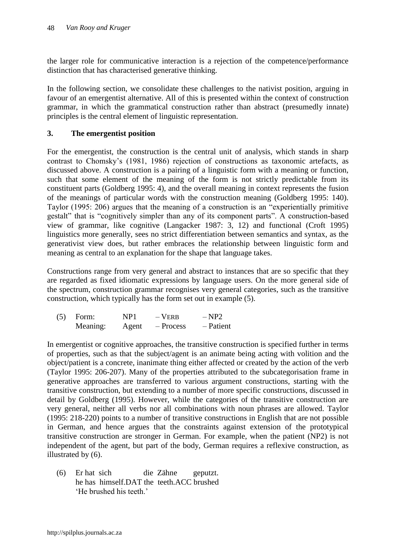the larger role for communicative interaction is a rejection of the competence/performance distinction that has characterised generative thinking.

In the following section, we consolidate these challenges to the nativist position, arguing in favour of an emergentist alternative. All of this is presented within the context of construction grammar, in which the grammatical construction rather than abstract (presumedly innate) principles is the central element of linguistic representation.

# **3. The emergentist position**

For the emergentist, the construction is the central unit of analysis, which stands in sharp contrast to Chomsky"s (1981, 1986) rejection of constructions as taxonomic artefacts, as discussed above. A construction is a pairing of a linguistic form with a meaning or function, such that some element of the meaning of the form is not strictly predictable from its constituent parts (Goldberg 1995: 4), and the overall meaning in context represents the fusion of the meanings of particular words with the construction meaning (Goldberg 1995: 140). Taylor (1995: 206) argues that the meaning of a construction is an "experientially primitive gestalt" that is "cognitively simpler than any of its component parts". A construction-based view of grammar, like cognitive (Langacker 1987: 3, 12) and functional (Croft 1995) linguistics more generally, sees no strict differentiation between semantics and syntax, as the generativist view does, but rather embraces the relationship between linguistic form and meaning as central to an explanation for the shape that language takes.

Constructions range from very general and abstract to instances that are so specific that they are regarded as fixed idiomatic expressions by language users. On the more general side of the spectrum, construction grammar recognises very general categories, such as the transitive construction, which typically has the form set out in example (5).

| (5) | Form:    | NP1   | $-$ VERB  | $-NP2$    |
|-----|----------|-------|-----------|-----------|
|     | Meaning: | Agent | – Process | – Patient |

In emergentist or cognitive approaches, the transitive construction is specified further in terms of properties, such as that the subject/agent is an animate being acting with volition and the object/patient is a concrete, inanimate thing either affected or created by the action of the verb (Taylor 1995: 206-207). Many of the properties attributed to the subcategorisation frame in generative approaches are transferred to various argument constructions, starting with the transitive construction, but extending to a number of more specific constructions, discussed in detail by Goldberg (1995). However, while the categories of the transitive construction are very general, neither all verbs nor all combinations with noun phrases are allowed. Taylor (1995: 218-220) points to a number of transitive constructions in English that are not possible in German, and hence argues that the constraints against extension of the prototypical transitive construction are stronger in German. For example, when the patient (NP2) is not independent of the agent, but part of the body, German requires a reflexive construction, as illustrated by (6).

(6) Er hat sich die Zähne geputzt. he has himself.DAT the teeth.ACC brushed 'He brushed his teeth'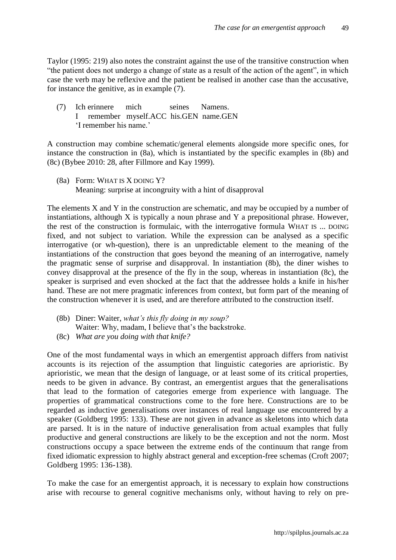Taylor (1995: 219) also notes the constraint against the use of the transitive construction when "the patient does not undergo a change of state as a result of the action of the agent", in which case the verb may be reflexive and the patient be realised in another case than the accusative, for instance the genitive, as in example (7).

(7) Ich erinnere mich seines Namens. I remember myself.ACC his.GEN name.GEN "I remember his name."

A construction may combine schematic/general elements alongside more specific ones, for instance the construction in (8a), which is instantiated by the specific examples in (8b) and (8c) (Bybee 2010: 28, after Fillmore and Kay 1999).

(8a) Form: WHAT IS X DOING Y? Meaning: surprise at incongruity with a hint of disapproval

The elements X and Y in the construction are schematic, and may be occupied by a number of instantiations, although X is typically a noun phrase and Y a prepositional phrase. However, the rest of the construction is formulaic, with the interrogative formula WHAT IS ... DOING fixed, and not subject to variation. While the expression can be analysed as a specific interrogative (or wh-question), there is an unpredictable element to the meaning of the instantiations of the construction that goes beyond the meaning of an interrogative, namely the pragmatic sense of surprise and disapproval. In instantiation (8b), the diner wishes to convey disapproval at the presence of the fly in the soup, whereas in instantiation (8c), the speaker is surprised and even shocked at the fact that the addressee holds a knife in his/her hand. These are not mere pragmatic inferences from context, but form part of the meaning of the construction whenever it is used, and are therefore attributed to the construction itself.

- (8b) Diner: Waiter, *what's this fly doing in my soup?* Waiter: Why, madam, I believe that's the backstroke.
- (8c) *What are you doing with that knife?*

One of the most fundamental ways in which an emergentist approach differs from nativist accounts is its rejection of the assumption that linguistic categories are aprioristic. By aprioristic, we mean that the design of language, or at least some of its critical properties, needs to be given in advance. By contrast, an emergentist argues that the generalisations that lead to the formation of categories emerge from experience with language. The properties of grammatical constructions come to the fore here. Constructions are to be regarded as inductive generalisations over instances of real language use encountered by a speaker (Goldberg 1995: 133). These are not given in advance as skeletons into which data are parsed. It is in the nature of inductive generalisation from actual examples that fully productive and general constructions are likely to be the exception and not the norm. Most constructions occupy a space between the extreme ends of the continuum that range from fixed idiomatic expression to highly abstract general and exception-free schemas (Croft 2007; Goldberg 1995: 136-138).

To make the case for an emergentist approach, it is necessary to explain how constructions arise with recourse to general cognitive mechanisms only, without having to rely on pre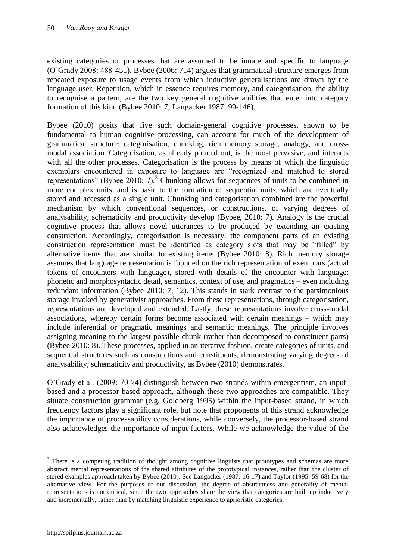existing categories or processes that are assumed to be innate and specific to language (O"Grady 2008: 488-451). Bybee (2006: 714) argues that grammatical structure emerges from repeated exposure to usage events from which inductive generalisations are drawn by the language user. Repetition, which in essence requires memory, and categorisation, the ability to recognise a pattern, are the two key general cognitive abilities that enter into category formation of this kind (Bybee 2010: 7; Langacker 1987: 99-146).

Bybee (2010) posits that five such domain-general cognitive processes, shown to be fundamental to human cognitive processing, can account for much of the development of grammatical structure: categorisation, chunking, rich memory storage, analogy, and crossmodal association. Categorisation, as already pointed out, is the most pervasive, and interacts with all the other processes. Categorisation is the process by means of which the linguistic exemplars encountered in exposure to language are "recognized and matched to stored representations" (Bybee 2010:  $7$ ).<sup>3</sup> Chunking allows for sequences of units to be combined in more complex units, and is basic to the formation of sequential units, which are eventually stored and accessed as a single unit. Chunking and categorisation combined are the powerful mechanism by which conventional sequences, or constructions, of varying degrees of analysability, schematicity and productivity develop (Bybee, 2010: 7). Analogy is the crucial cognitive process that allows novel utterances to be produced by extending an existing construction. Accordingly, categorisation is necessary: the component parts of an existing construction representation must be identified as category slots that may be "filled" by alternative items that are similar to existing items (Bybee 2010: 8). Rich memory storage assumes that language representation is founded on the rich representation of exemplars (actual tokens of encounters with language), stored with details of the encounter with language: phonetic and morphosyntactic detail, semantics, context of use, and pragmatics – even including redundant information (Bybee 2010: 7, 12). This stands in stark contrast to the parsimonious storage invoked by generativist approaches. From these representations, through categorisation, representations are developed and extended. Lastly, these representations involve cross-modal associations, whereby certain forms become associated with certain meanings – which may include inferential or pragmatic meanings and semantic meanings. The principle involves assigning meaning to the largest possible chunk (rather than decomposed to constituent parts) (Bybee 2010: 8). These processes, applied in an iterative fashion, create categories of units, and sequential structures such as constructions and constituents, demonstrating varying degrees of analysability, schematicity and productivity, as Bybee (2010) demonstrates.

O"Grady et al. (2009: 70-74) distinguish between two strands within emergentism, an inputbased and a processor-based approach, although these two approaches are compatible. They situate construction grammar (e.g. Goldberg 1995) within the input-based strand, in which frequency factors play a significant role, but note that proponents of this strand acknowledge the importance of processability considerations, while conversely, the processor-based strand also acknowledges the importance of input factors. While we acknowledge the value of the

 $\overline{a}$ 

<sup>&</sup>lt;sup>3</sup> There is a competing tradition of thought among cognitive linguists that prototypes and schemas are more abstract mental representations of the shared attributes of the prototypical instances, rather than the cluster of stored examples approach taken by Bybee (2010). See Langacker (1987: 16-17) and Taylor (1995: 59-68) for the alternative view. For the purposes of our discussion, the degree of abstractness and generality of mental representations is not critical, since the two approaches share the view that categories are built up inductively and incrementally, rather than by matching linguistic experience to aprioristic categories.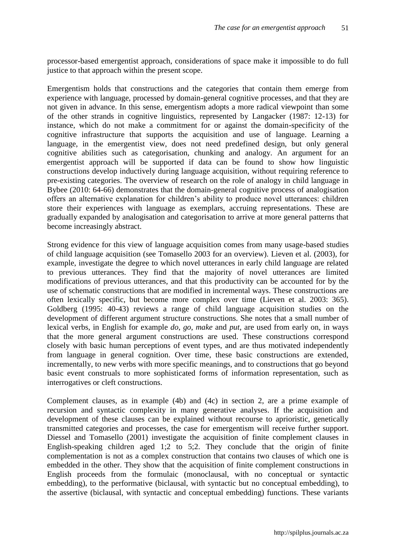processor-based emergentist approach, considerations of space make it impossible to do full justice to that approach within the present scope.

Emergentism holds that constructions and the categories that contain them emerge from experience with language, processed by domain-general cognitive processes, and that they are not given in advance. In this sense, emergentism adopts a more radical viewpoint than some of the other strands in cognitive linguistics, represented by Langacker (1987: 12-13) for instance, which do not make a commitment for or against the domain-specificity of the cognitive infrastructure that supports the acquisition and use of language. Learning a language, in the emergentist view, does not need predefined design, but only general cognitive abilities such as categorisation, chunking and analogy. An argument for an emergentist approach will be supported if data can be found to show how linguistic constructions develop inductively during language acquisition, without requiring reference to pre-existing categories. The overview of research on the role of analogy in child language in Bybee (2010: 64-66) demonstrates that the domain-general cognitive process of analogisation offers an alternative explanation for children"s ability to produce novel utterances: children store their experiences with language as exemplars, accruing representations. These are gradually expanded by analogisation and categorisation to arrive at more general patterns that become increasingly abstract.

Strong evidence for this view of language acquisition comes from many usage-based studies of child language acquisition (see Tomasello 2003 for an overview). Lieven et al. (2003), for example, investigate the degree to which novel utterances in early child language are related to previous utterances. They find that the majority of novel utterances are limited modifications of previous utterances, and that this productivity can be accounted for by the use of schematic constructions that are modified in incremental ways. These constructions are often lexically specific, but become more complex over time (Lieven et al. 2003: 365). Goldberg (1995: 40-43) reviews a range of child language acquisition studies on the development of different argument structure constructions. She notes that a small number of lexical verbs, in English for example *do*, *go*, *make* and *put*, are used from early on, in ways that the more general argument constructions are used. These constructions correspond closely with basic human perceptions of event types, and are thus motivated independently from language in general cognition. Over time, these basic constructions are extended, incrementally, to new verbs with more specific meanings, and to constructions that go beyond basic event construals to more sophisticated forms of information representation, such as interrogatives or cleft constructions.

Complement clauses, as in example (4b) and (4c) in section 2, are a prime example of recursion and syntactic complexity in many generative analyses. If the acquisition and development of these clauses can be explained without recourse to aprioristic, genetically transmitted categories and processes, the case for emergentism will receive further support. Diessel and Tomasello (2001) investigate the acquisition of finite complement clauses in English-speaking children aged 1;2 to 5;2. They conclude that the origin of finite complementation is not as a complex construction that contains two clauses of which one is embedded in the other. They show that the acquisition of finite complement constructions in English proceeds from the formulaic (monoclausal, with no conceptual or syntactic embedding), to the performative (biclausal, with syntactic but no conceptual embedding), to the assertive (biclausal, with syntactic and conceptual embedding) functions. These variants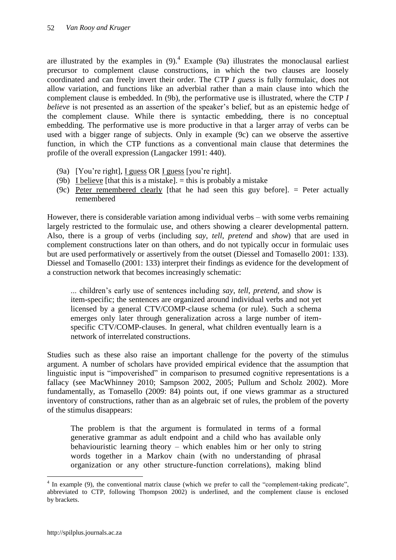are illustrated by the examples in  $(9)$ .<sup>4</sup> Example  $(9a)$  illustrates the monoclausal earliest precursor to complement clause constructions, in which the two clauses are loosely coordinated and can freely invert their order. The CTP *I guess* is fully formulaic, does not allow variation, and functions like an adverbial rather than a main clause into which the complement clause is embedded. In (9b), the performative use is illustrated, where the CTP *I believe* is not presented as an assertion of the speaker's belief, but as an epistemic hedge of the complement clause. While there is syntactic embedding, there is no conceptual embedding. The performative use is more productive in that a larger array of verbs can be used with a bigger range of subjects. Only in example (9c) can we observe the assertive function, in which the CTP functions as a conventional main clause that determines the profile of the overall expression (Langacker 1991: 440).

- (9a) [You"re right], I guess OR I guess [you"re right].
- (9b) I believe [that this is a mistake].  $=$  this is probably a mistake
- (9c) Peter remembered clearly [that he had seen this guy before]. = Peter actually remembered

However, there is considerable variation among individual verbs – with some verbs remaining largely restricted to the formulaic use, and others showing a clearer developmental pattern. Also, there is a group of verbs (including *say*, *tell*, *pretend* and *show*) that are used in complement constructions later on than others, and do not typically occur in formulaic uses but are used performatively or assertively from the outset (Diessel and Tomasello 2001: 133). Diessel and Tomasello (2001: 133) interpret their findings as evidence for the development of a construction network that becomes increasingly schematic:

... children"s early use of sentences including *say*, *tell*, *pretend*, and *show* is item-specific; the sentences are organized around individual verbs and not yet licensed by a general CTV/COMP-clause schema (or rule). Such a schema emerges only later through generalization across a large number of itemspecific CTV/COMP-clauses. In general, what children eventually learn is a network of interrelated constructions.

Studies such as these also raise an important challenge for the poverty of the stimulus argument. A number of scholars have provided empirical evidence that the assumption that linguistic input is "impoverished" in comparison to presumed cognitive representations is a fallacy (see MacWhinney 2010; Sampson 2002, 2005; Pullum and Scholz 2002). More fundamentally, as Tomasello (2009: 84) points out, if one views grammar as a structured inventory of constructions, rather than as an algebraic set of rules, the problem of the poverty of the stimulus disappears:

The problem is that the argument is formulated in terms of a formal generative grammar as adult endpoint and a child who has available only behaviouristic learning theory – which enables him or her only to string words together in a Markov chain (with no understanding of phrasal organization or any other structure-function correlations), making blind

 $\overline{a}$ 

<sup>&</sup>lt;sup>4</sup> In example (9), the conventional matrix clause (which we prefer to call the "complement-taking predicate", abbreviated to CTP, following Thompson 2002) is underlined, and the complement clause is enclosed by brackets.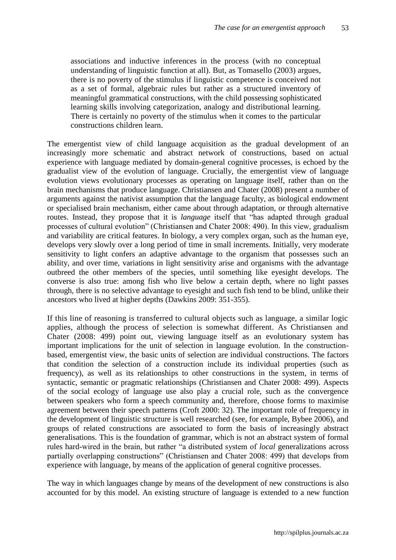associations and inductive inferences in the process (with no conceptual understanding of linguistic function at all). But, as Tomasello (2003) argues, there is no poverty of the stimulus if linguistic competence is conceived not as a set of formal, algebraic rules but rather as a structured inventory of meaningful grammatical constructions, with the child possessing sophisticated learning skills involving categorization, analogy and distributional learning. There is certainly no poverty of the stimulus when it comes to the particular constructions children learn.

The emergentist view of child language acquisition as the gradual development of an increasingly more schematic and abstract network of constructions, based on actual experience with language mediated by domain-general cognitive processes, is echoed by the gradualist view of the evolution of language. Crucially, the emergentist view of language evolution views evolutionary processes as operating on language itself, rather than on the brain mechanisms that produce language. Christiansen and Chater (2008) present a number of arguments against the nativist assumption that the language faculty, as biological endowment or specialised brain mechanism, either came about through adaptation, or through alternative routes. Instead, they propose that it is *language* itself that "has adapted through gradual processes of cultural evolution" (Christiansen and Chater 2008: 490). In this view, gradualism and variability are critical features. In biology, a very complex organ, such as the human eye, develops very slowly over a long period of time in small increments. Initially, very moderate sensitivity to light confers an adaptive advantage to the organism that possesses such an ability, and over time, variations in light sensitivity arise and organisms with the advantage outbreed the other members of the species, until something like eyesight develops. The converse is also true: among fish who live below a certain depth, where no light passes through, there is no selective advantage to eyesight and such fish tend to be blind, unlike their ancestors who lived at higher depths (Dawkins 2009: 351-355).

If this line of reasoning is transferred to cultural objects such as language, a similar logic applies, although the process of selection is somewhat different. As Christiansen and Chater (2008: 499) point out, viewing language itself as an evolutionary system has important implications for the unit of selection in language evolution. In the constructionbased, emergentist view, the basic units of selection are individual constructions. The factors that condition the selection of a construction include its individual properties (such as frequency), as well as its relationships to other constructions in the system, in terms of syntactic, semantic or pragmatic relationships (Christiansen and Chater 2008: 499). Aspects of the social ecology of language use also play a crucial role, such as the convergence between speakers who form a speech community and, therefore, choose forms to maximise agreement between their speech patterns (Croft 2000: 32). The important role of frequency in the development of linguistic structure is well researched (see, for example, Bybee 2006), and groups of related constructions are associated to form the basis of increasingly abstract generalisations. This is the foundation of grammar, which is not an abstract system of formal rules hard-wired in the brain, but rather "a distributed system of *local* generalizations across partially overlapping constructions" (Christiansen and Chater 2008: 499) that develops from experience with language, by means of the application of general cognitive processes.

The way in which languages change by means of the development of new constructions is also accounted for by this model. An existing structure of language is extended to a new function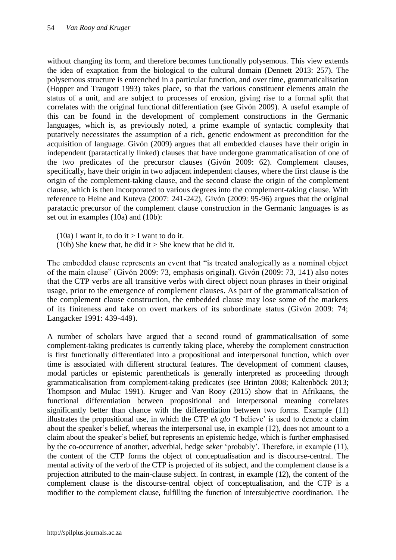without changing its form, and therefore becomes functionally polysemous. This view extends the idea of exaptation from the biological to the cultural domain (Dennett 2013: 257). The polysemous structure is entrenched in a particular function, and over time, grammaticalisation (Hopper and Traugott 1993) takes place, so that the various constituent elements attain the status of a unit, and are subject to processes of erosion, giving rise to a formal split that correlates with the original functional differentiation (see Givón 2009). A useful example of this can be found in the development of complement constructions in the Germanic languages, which is, as previously noted, a prime example of syntactic complexity that putatively necessitates the assumption of a rich, genetic endowment as precondition for the acquisition of language. Givón (2009) argues that all embedded clauses have their origin in independent (paratactically linked) clauses that have undergone grammaticalisation of one of the two predicates of the precursor clauses (Givón 2009: 62). Complement clauses, specifically, have their origin in two adjacent independent clauses, where the first clause is the origin of the complement-taking clause, and the second clause the origin of the complement clause, which is then incorporated to various degrees into the complement-taking clause. With reference to Heine and Kuteva (2007: 241-242), Givón (2009: 95-96) argues that the original paratactic precursor of the complement clause construction in the Germanic languages is as set out in examples (10a) and (10b):

- (10a) I want it, to do it  $>$  I want to do it.
- (10b) She knew that, he did it  $>$  She knew that he did it.

The embedded clause represents an event that "is treated analogically as a nominal object of the main clause" (Givón 2009: 73, emphasis original). Givón (2009: 73, 141) also notes that the CTP verbs are all transitive verbs with direct object noun phrases in their original usage, prior to the emergence of complement clauses. As part of the grammaticalisation of the complement clause construction, the embedded clause may lose some of the markers of its finiteness and take on overt markers of its subordinate status (Givón 2009: 74; Langacker 1991: 439-449).

A number of scholars have argued that a second round of grammaticalisation of some complement-taking predicates is currently taking place, whereby the complement construction is first functionally differentiated into a propositional and interpersonal function, which over time is associated with different structural features. The development of comment clauses, modal particles or epistemic parentheticals is generally interpreted as proceeding through grammaticalisation from complement-taking predicates (see Brinton 2008; Kaltenböck 2013; Thompson and Mulac 1991). Kruger and Van Rooy (2015) show that in Afrikaans, the functional differentiation between propositional and interpersonal meaning correlates significantly better than chance with the differentiation between two forms. Example (11) illustrates the propositional use, in which the CTP *ek glo* "I believe" is used to denote a claim about the speaker"s belief, whereas the interpersonal use, in example (12), does not amount to a claim about the speaker"s belief, but represents an epistemic hedge, which is further emphasised by the co-occurrence of another, adverbial, hedge *seker* "probably". Therefore, in example (11), the content of the CTP forms the object of conceptualisation and is discourse-central. The mental activity of the verb of the CTP is projected of its subject, and the complement clause is a projection attributed to the main-clause subject. In contrast, in example (12), the content of the complement clause is the discourse-central object of conceptualisation, and the CTP is a modifier to the complement clause, fulfilling the function of intersubjective coordination. The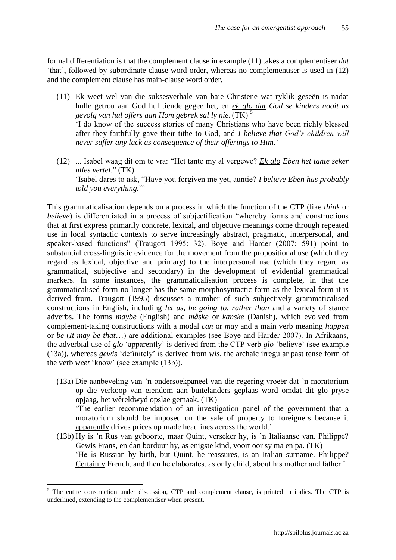formal differentiation is that the complement clause in example (11) takes a complementiser *dat* "that", followed by subordinate-clause word order, whereas no complementiser is used in (12) and the complement clause has main-clause word order.

- (11) Ek weet wel van die suksesverhale van baie Christene wat ryklik geseën is nadat hulle getrou aan God hul tiende gegee het, en *ek glo dat God se kinders nooit as gevolg van hul offers aan Hom gebrek sal ly nie*. (TK) <sup>5</sup> "I do know of the success stories of many Christians who have been richly blessed after they faithfully gave their tithe to God, and *I believe that God's children will never suffer any lack as consequence of their offerings to Him.*"
- (12) ... Isabel waag dit om te vra: "Het tante my al vergewe? *Ek glo Eben het tante seker alles vertel*." (TK) "Isabel dares to ask, "Have you forgiven me yet, auntie? *I believe Eben has probably told you everything.*""

This grammaticalisation depends on a process in which the function of the CTP (like *think* or *believe*) is differentiated in a process of subjectification "whereby forms and constructions that at first express primarily concrete, lexical, and objective meanings come through repeated use in local syntactic contexts to serve increasingly abstract, pragmatic, interpersonal, and speaker-based functions" (Traugott 1995: 32). Boye and Harder (2007: 591) point to substantial cross-linguistic evidence for the movement from the propositional use (which they regard as lexical, objective and primary) to the interpersonal use (which they regard as grammatical, subjective and secondary) in the development of evidential grammatical markers. In some instances, the grammaticalisation process is complete, in that the grammaticalised form no longer has the same morphosyntactic form as the lexical form it is derived from. Traugott (1995) discusses a number of such subjectively grammaticalised constructions in English, including *let us, be going to, rather than* and a variety of stance adverbs. The forms *maybe* (English) and *måske* or *kanske* (Danish), which evolved from complement-taking constructions with a modal *can* or *may* and a main verb meaning *happen* or *be* (*It may be that*…) are additional examples (see Boye and Harder 2007). In Afrikaans, the adverbial use of *glo* "apparently" is derived from the CTP verb *glo* "believe" (see example (13a)), whereas *gewis* "definitely" is derived from *wis*, the archaic irregular past tense form of the verb *weet* "know" (see example (13b)).

- (13a) Die aanbeveling van "n ondersoekpaneel van die regering vroeër dat "n moratorium op die verkoop van eiendom aan buitelanders geplaas word omdat dit glo pryse opjaag, het wêreldwyd opslae gemaak. (TK) "The earlier recommendation of an investigation panel of the government that a moratorium should be imposed on the sale of property to foreigners because it apparently drives prices up made headlines across the world."
- (13b) Hy is "n Rus van geboorte, maar Quint, verseker hy, is "n Italiaanse van. Philippe? Gewis Frans, en dan borduur hy, as enigste kind, voort oor sy ma en pa. (TK) "He is Russian by birth, but Quint, he reassures, is an Italian surname. Philippe? Certainly French, and then he elaborates, as only child, about his mother and father."

 $\overline{a}$ 

<sup>&</sup>lt;sup>5</sup> The entire construction under discussion, CTP and complement clause, is printed in italics. The CTP is underlined, extending to the complementiser when present.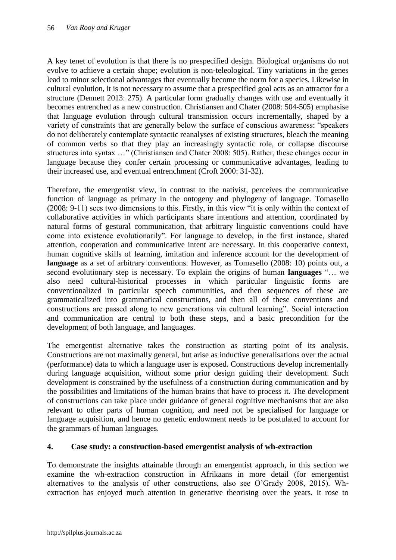A key tenet of evolution is that there is no prespecified design. Biological organisms do not evolve to achieve a certain shape; evolution is non-teleological. Tiny variations in the genes lead to minor selectional advantages that eventually become the norm for a species. Likewise in cultural evolution, it is not necessary to assume that a prespecified goal acts as an attractor for a structure (Dennett 2013: 275). A particular form gradually changes with use and eventually it becomes entrenched as a new construction. Christiansen and Chater (2008: 504-505) emphasise that language evolution through cultural transmission occurs incrementally, shaped by a variety of constraints that are generally below the surface of conscious awareness: "speakers do not deliberately contemplate syntactic reanalyses of existing structures, bleach the meaning of common verbs so that they play an increasingly syntactic role, or collapse discourse structures into syntax …" (Christiansen and Chater 2008: 505). Rather, these changes occur in language because they confer certain processing or communicative advantages, leading to their increased use, and eventual entrenchment (Croft 2000: 31-32).

Therefore, the emergentist view, in contrast to the nativist, perceives the communicative function of language as primary in the ontogeny and phylogeny of language. Tomasello (2008: 9-11) sees two dimensions to this. Firstly, in this view "it is only within the context of collaborative activities in which participants share intentions and attention, coordinated by natural forms of gestural communication, that arbitrary linguistic conventions could have come into existence evolutionarily". For language to develop, in the first instance, shared attention, cooperation and communicative intent are necessary. In this cooperative context, human cognitive skills of learning, imitation and inference account for the development of **language** as a set of arbitrary conventions. However, as Tomasello (2008: 10) points out, a second evolutionary step is necessary. To explain the origins of human **languages** "… we also need cultural-historical processes in which particular linguistic forms are conventionalized in particular speech communities, and then sequences of these are grammaticalized into grammatical constructions, and then all of these conventions and constructions are passed along to new generations via cultural learning". Social interaction and communication are central to both these steps, and a basic precondition for the development of both language, and languages.

The emergentist alternative takes the construction as starting point of its analysis. Constructions are not maximally general, but arise as inductive generalisations over the actual (performance) data to which a language user is exposed. Constructions develop incrementally during language acquisition, without some prior design guiding their development. Such development is constrained by the usefulness of a construction during communication and by the possibilities and limitations of the human brains that have to process it. The development of constructions can take place under guidance of general cognitive mechanisms that are also relevant to other parts of human cognition, and need not be specialised for language or language acquisition, and hence no genetic endowment needs to be postulated to account for the grammars of human languages.

## **4. Case study: a construction-based emergentist analysis of wh-extraction**

To demonstrate the insights attainable through an emergentist approach, in this section we examine the wh-extraction construction in Afrikaans in more detail (for emergentist alternatives to the analysis of other constructions, also see O"Grady 2008, 2015). Whextraction has enjoyed much attention in generative theorising over the years. It rose to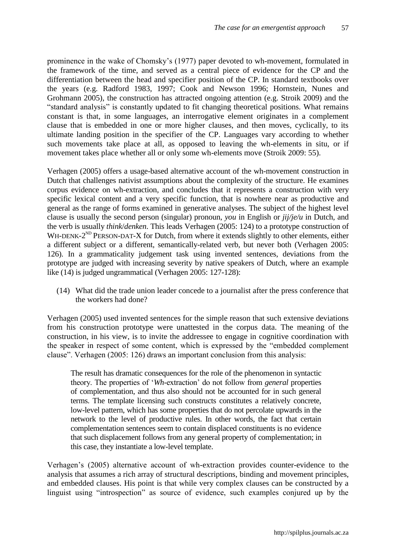prominence in the wake of Chomsky"s (1977) paper devoted to wh-movement, formulated in the framework of the time, and served as a central piece of evidence for the CP and the differentiation between the head and specifier position of the CP. In standard textbooks over the years (e.g. Radford 1983, 1997; Cook and Newson 1996; Hornstein, Nunes and Grohmann 2005), the construction has attracted ongoing attention (e.g. Stroik 2009) and the "standard analysis" is constantly updated to fit changing theoretical positions. What remains constant is that, in some languages, an interrogative element originates in a complement clause that is embedded in one or more higher clauses, and then moves, cyclically, to its ultimate landing position in the specifier of the CP. Languages vary according to whether such movements take place at all, as opposed to leaving the wh-elements in situ, or if movement takes place whether all or only some wh-elements move (Stroik 2009: 55).

Verhagen (2005) offers a usage-based alternative account of the wh-movement construction in Dutch that challenges nativist assumptions about the complexity of the structure. He examines corpus evidence on wh-extraction, and concludes that it represents a construction with very specific lexical content and a very specific function, that is nowhere near as productive and general as the range of forms examined in generative analyses. The subject of the highest level clause is usually the second person (singular) pronoun, *you* in English or *jij/je/u* in Dutch, and the verb is usually *think*/*denken*. This leads Verhagen (2005: 124) to a prototype construction of WH-DENK- $2^{ND}$  PERSON-DAT-X for Dutch, from where it extends slightly to other elements, either a different subject or a different, semantically-related verb, but never both (Verhagen 2005: 126). In a grammaticality judgement task using invented sentences, deviations from the prototype are judged with increasing severity by native speakers of Dutch, where an example like (14) is judged ungrammatical (Verhagen 2005: 127-128):

(14) What did the trade union leader concede to a journalist after the press conference that the workers had done?

Verhagen (2005) used invented sentences for the simple reason that such extensive deviations from his construction prototype were unattested in the corpus data. The meaning of the construction, in his view, is to invite the addressee to engage in cognitive coordination with the speaker in respect of some content, which is expressed by the "embedded complement clause". Verhagen (2005: 126) draws an important conclusion from this analysis:

The result has dramatic consequences for the role of the phenomenon in syntactic theory. The properties of "*Wh*-extraction" do not follow from *general* properties of complementation, and thus also should not be accounted for in such general terms. The template licensing such constructs constitutes a relatively concrete, low-level pattern, which has some properties that do not percolate upwards in the network to the level of productive rules. In other words, the fact that certain complementation sentences seem to contain displaced constituents is no evidence that such displacement follows from any general property of complementation; in this case, they instantiate a low-level template.

Verhagen"s (2005) alternative account of wh-extraction provides counter-evidence to the analysis that assumes a rich array of structural descriptions, binding and movement principles, and embedded clauses. His point is that while very complex clauses can be constructed by a linguist using "introspection" as source of evidence, such examples conjured up by the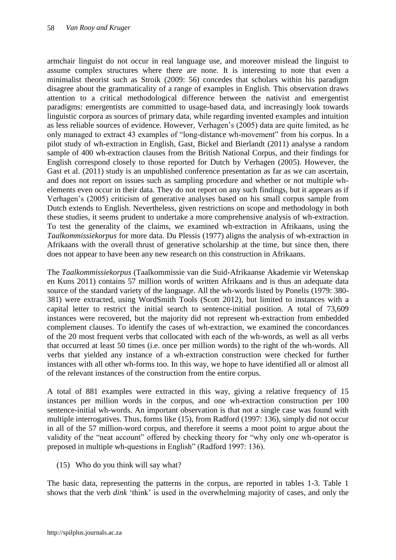armchair linguist do not occur in real language use, and moreover mislead the linguist to assume complex structures where there are none. It is interesting to note that even a minimalist theorist such as Stroik (2009: 56) concedes that scholars within his paradigm disagree about the grammaticality of a range of examples in English. This observation draws attention to a critical methodological difference between the nativist and emergentist paradigms: emergentists are committed to usage-based data, and increasingly look towards linguistic corpora as sources of primary data, while regarding invented examples and intuition as less reliable sources of evidence. However, Verhagen"s (2005) data are quite limited, as he only managed to extract 43 examples of "long-distance wh-movement" from his corpus. In a pilot study of wh-extraction in English, Gast, Bickel and Bierlandt (2011) analyse a random sample of 400 wh-extraction clauses from the British National Corpus, and their findings for English correspond closely to those reported for Dutch by Verhagen (2005). However, the Gast et al. (2011) study is an unpublished conference presentation as far as we can ascertain, and does not report on issues such as sampling procedure and whether or not multiple whelements even occur in their data. They do not report on any such findings, but it appears as if Verhagen"s (2005) criticism of generative analyses based on his small corpus sample from Dutch extends to English. Nevertheless, given restrictions on scope and methodology in both these studies, it seems prudent to undertake a more comprehensive analysis of wh-extraction. To test the generality of the claims, we examined wh-extraction in Afrikaans, using the *Taalkommissiekorpus* for more data. Du Plessis (1977) aligns the analysis of wh-extraction in Afrikaans with the overall thrust of generative scholarship at the time, but since then, there does not appear to have been any new research on this construction in Afrikaans.

The *Taalkommissiekorpus* (Taalkommissie van die Suid-Afrikaanse Akademie vir Wetenskap en Kuns 2011) contains 57 million words of written Afrikaans and is thus an adequate data source of the standard variety of the language. All the wh-words listed by Ponelis (1979: 380- 381) were extracted, using WordSmith Tools (Scott 2012), but limited to instances with a capital letter to restrict the initial search to sentence-initial position. A total of 73,609 instances were recovered, but the majority did not represent wh-extraction from embedded complement clauses. To identify the cases of wh-extraction, we examined the concordances of the 20 most frequent verbs that collocated with each of the wh-words, as well as all verbs that occurred at least 50 times (i.e. once per million words) to the right of the wh-words. All verbs that yielded any instance of a wh-extraction construction were checked for further instances with all other wh-forms too. In this way, we hope to have identified all or almost all of the relevant instances of the construction from the entire corpus.

A total of 881 examples were extracted in this way, giving a relative frequency of 15 instances per million words in the corpus, and one wh-extraction construction per 100 sentence-initial wh-words. An important observation is that not a single case was found with multiple interrogatives. Thus, forms like (15), from Radford (1997: 136), simply did not occur in all of the 57 million-word corpus, and therefore it seems a moot point to argue about the validity of the "neat account" offered by checking theory for "why only one wh-operator is preposed in multiple wh-questions in English" (Radford 1997: 136).

(15) Who do you think will say what?

The basic data, representing the patterns in the corpus, are reported in tables 1-3. Table 1 shows that the verb *dink* "think" is used in the overwhelming majority of cases, and only the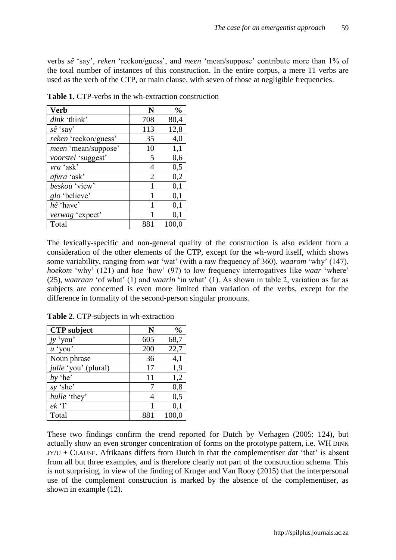verbs *sê* "say", *reken* "reckon/guess", and *meen* "mean/suppose" contribute more than 1% of the total number of instances of this construction. In the entire corpus, a mere 11 verbs are used as the verb of the CTP, or main clause, with seven of those at negligible frequencies.

| <b>Verb</b>          | N              | $\frac{0}{0}$ |
|----------------------|----------------|---------------|
| dink 'think'         | 708            | 80,4          |
| $s\hat{e}$ 'say'     | 113            | 12,8          |
| reken 'reckon/guess' | 35             | 4,0           |
| meen 'mean/suppose'  | 10             | 1,1           |
| voorstel 'suggest'   | 5              | 0,6           |
| vra 'ask'            | 4              | 0,5           |
| afvra 'ask'          | $\overline{2}$ | 0,2           |
| beskou 'view'        | 1              | 0,1           |
| glo 'believe'        | 1              | 0,1           |
| hê 'have'            | 1              | 0,1           |
| verwag 'expect'      |                | 0,1           |
| Total                | 881            | 100,0         |

**Table 1.** CTP-verbs in the wh-extraction construction

The lexically-specific and non-general quality of the construction is also evident from a consideration of the other elements of the CTP, except for the wh-word itself, which shows some variability, ranging from *wat* 'wat' (with a raw frequency of 360), *waarom* 'why' (147), *hoekom* 'why' (121) and *hoe* 'how' (97) to low frequency interrogatives like *waar* 'where' (25), *waaraan* "of what" (1) and *waarin* "in what" (1). As shown in table 2, variation as far as subjects are concerned is even more limited than variation of the verbs, except for the difference in formality of the second-person singular pronouns.

| <b>CTP</b> subject          | N   | $\frac{0}{0}$ |
|-----------------------------|-----|---------------|
| $j$ <i>y</i> 'you'          | 605 | 68,7          |
| $u \text{'} you'$           | 200 | 22,7          |
| Noun phrase                 | 36  | 4,1           |
| <i>julle</i> 'you' (plural) | 17  | 1,9           |
| $hv$ 'he'                   | 11  | 1,2           |
| sy 'she'                    |     | 0,8           |
| hulle 'they'                | 4   | 0,5           |
| $ek$ <sup>'</sup> I'        |     | 0,1           |
| Total                       | 881 | 100,0         |

**Table 2.** CTP-subjects in wh-extraction

These two findings confirm the trend reported for Dutch by Verhagen (2005: 124), but actually show an even stronger concentration of forms on the prototype pattern, i.e. WH DINK JY/U + CLAUSE. Afrikaans differs from Dutch in that the complementiser *dat* "that" is absent from all but three examples, and is therefore clearly not part of the construction schema. This is not surprising, in view of the finding of Kruger and Van Rooy (2015) that the interpersonal use of the complement construction is marked by the absence of the complementiser, as shown in example (12).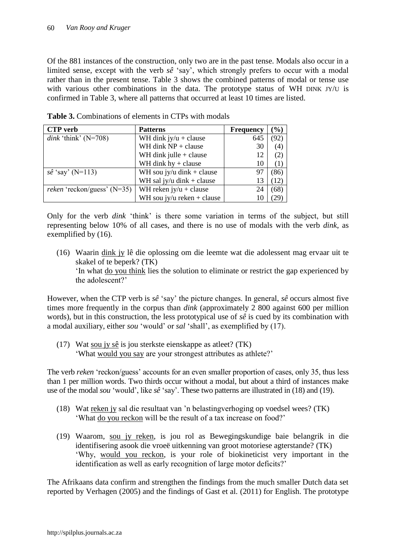Of the 881 instances of the construction, only two are in the past tense. Modals also occur in a limited sense, except with the verb *sê* "say", which strongly prefers to occur with a modal rather than in the present tense. Table 3 shows the combined patterns of modal or tense use with various other combinations in the data. The prototype status of WH DINK JY/U is confirmed in Table 3, where all patterns that occurred at least 10 times are listed.

| <b>CTP</b> verb                      | <b>Patterns</b>                | <b>Frequency</b> | $\frac{9}{0}$ |
|--------------------------------------|--------------------------------|------------------|---------------|
| dink 'think' $(N=708)$               | WH dink $jy/u + clause$<br>645 |                  | (92)          |
|                                      | WH dink $NP + clause$          | 30               | (4)           |
|                                      | WH dink julle $+$ clause       | 12               | (2)           |
|                                      | WH dink $hy + clause$          | 10               | (1)           |
| $s\hat{e}$ 'say' (N=113)             | WH sou jy/u dink + clause      | 97               | (86)          |
|                                      | WH sal jy/u dink + clause      | 13               | (12)          |
| <i>reken</i> 'reckon/guess' $(N=35)$ | WH reken $jy/u + clause$       | 24               | (68)          |
|                                      | WH sou jy/u reken + clause     |                  |               |

**Table 3.** Combinations of elements in CTPs with modals

Only for the verb *dink* "think" is there some variation in terms of the subject, but still representing below 10% of all cases, and there is no use of modals with the verb *dink*, as exemplified by (16).

(16) Waarin dink jy lê die oplossing om die leemte wat die adolessent mag ervaar uit te skakel of te beperk? (TK) "In what do you think lies the solution to eliminate or restrict the gap experienced by the adolescent?'

However, when the CTP verb is *sê* "say" the picture changes. In general, *sê* occurs almost five times more frequently in the corpus than *dink* (approximately 2 800 against 600 per million words), but in this construction, the less prototypical use of *sê* is cued by its combination with a modal auxiliary, either *sou* "would" or *sal* "shall", as exemplified by (17).

(17) Wat sou jy sê is jou sterkste eienskappe as atleet? (TK) "What would you say are your strongest attributes as athlete?"

The verb *reken* 'reckon/guess' accounts for an even smaller proportion of cases, only 35, thus less than 1 per million words. Two thirds occur without a modal, but about a third of instances make use of the modal *sou* "would", like *sê* "say". These two patterns are illustrated in (18) and (19).

- (18) Wat reken jy sal die resultaat van "n belastingverhoging op voedsel wees? (TK) "What do you reckon will be the result of a tax increase on food?"
- (19) Waarom, sou jy reken, is jou rol as Bewegingskundige baie belangrik in die identifisering asook die vroeë uitkenning van groot motoriese agterstande? (TK) "Why, would you reckon, is your role of biokineticist very important in the identification as well as early recognition of large motor deficits?'

The Afrikaans data confirm and strengthen the findings from the much smaller Dutch data set reported by Verhagen (2005) and the findings of Gast et al. (2011) for English. The prototype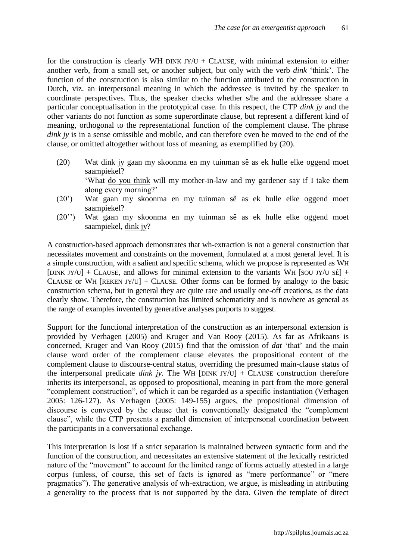for the construction is clearly WH DINK  $JY/U + CLAUSE$ , with minimal extension to either another verb, from a small set, or another subject, but only with the verb *dink* "think". The function of the construction is also similar to the function attributed to the construction in Dutch, viz. an interpersonal meaning in which the addressee is invited by the speaker to coordinate perspectives. Thus, the speaker checks whether s/he and the addressee share a particular conceptualisation in the prototypical case. In this respect, the CTP *dink jy* and the other variants do not function as some superordinate clause, but represent a different kind of meaning, orthogonal to the representational function of the complement clause. The phrase *dink jy* is in a sense omissible and mobile, and can therefore even be moved to the end of the clause, or omitted altogether without loss of meaning, as exemplified by (20).

- (20) Wat dink jy gaan my skoonma en my tuinman sê as ek hulle elke oggend moet saampiekel? "What do you think will my mother-in-law and my gardener say if I take them along every morning?"
- (20") Wat gaan my skoonma en my tuinman sê as ek hulle elke oggend moet saampiekel?
- (20"") Wat gaan my skoonma en my tuinman sê as ek hulle elke oggend moet saampiekel, dink jy?

A construction-based approach demonstrates that wh-extraction is not a general construction that necessitates movement and constraints on the movement, formulated at a most general level. It is a simple construction, with a salient and specific schema, which we propose is represented as WH [DINK JY/U] + CLAUSE, and allows for minimal extension to the variants WH [SOU JY/U SÊ] + CLAUSE or WH [REKEN JY/U] + CLAUSE. Other forms can be formed by analogy to the basic construction schema, but in general they are quite rare and usually one-off creations, as the data clearly show. Therefore, the construction has limited schematicity and is nowhere as general as the range of examples invented by generative analyses purports to suggest.

Support for the functional interpretation of the construction as an interpersonal extension is provided by Verhagen (2005) and Kruger and Van Rooy (2015). As far as Afrikaans is concerned, Kruger and Van Rooy (2015) find that the omission of *dat* "that" and the main clause word order of the complement clause elevates the propositional content of the complement clause to discourse-central status, overriding the presumed main-clause status of the interpersonal predicate *dink jy*. The WH [DINK JY/U] + CLAUSE construction therefore inherits its interpersonal, as opposed to propositional, meaning in part from the more general "complement construction", of which it can be regarded as a specific instantiation (Verhagen 2005: 126-127). As Verhagen (2005: 149-155) argues, the propositional dimension of discourse is conveyed by the clause that is conventionally designated the "complement clause", while the CTP presents a parallel dimension of interpersonal coordination between the participants in a conversational exchange.

This interpretation is lost if a strict separation is maintained between syntactic form and the function of the construction, and necessitates an extensive statement of the lexically restricted nature of the "movement" to account for the limited range of forms actually attested in a large corpus (unless, of course, this set of facts is ignored as "mere performance" or "mere pragmatics"). The generative analysis of wh-extraction, we argue, is misleading in attributing a generality to the process that is not supported by the data. Given the template of direct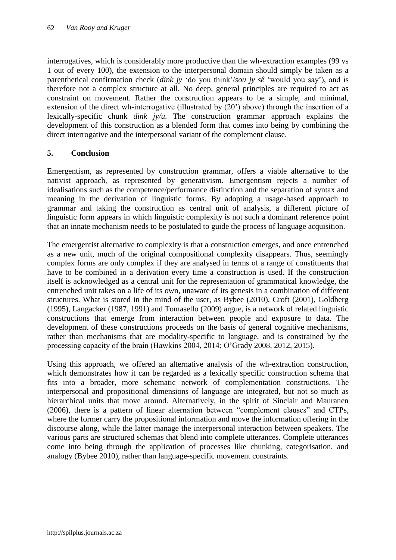interrogatives, which is considerably more productive than the wh-extraction examples (99 vs 1 out of every 100), the extension to the interpersonal domain should simply be taken as a parenthetical confirmation check (*dink jy* "do you think"/*sou jy sê* "would you say"), and is therefore not a complex structure at all. No deep, general principles are required to act as constraint on movement. Rather the construction appears to be a simple, and minimal, extension of the direct wh-interrogative (illustrated by (20") above) through the insertion of a lexically-specific chunk *dink jy/u*. The construction grammar approach explains the development of this construction as a blended form that comes into being by combining the direct interrogative and the interpersonal variant of the complement clause.

# **5. Conclusion**

Emergentism, as represented by construction grammar, offers a viable alternative to the nativist approach, as represented by generativism. Emergentism rejects a number of idealisations such as the competence/performance distinction and the separation of syntax and meaning in the derivation of linguistic forms. By adopting a usage-based approach to grammar and taking the construction as central unit of analysis, a different picture of linguistic form appears in which linguistic complexity is not such a dominant reference point that an innate mechanism needs to be postulated to guide the process of language acquisition.

The emergentist alternative to complexity is that a construction emerges, and once entrenched as a new unit, much of the original compositional complexity disappears. Thus, seemingly complex forms are only complex if they are analysed in terms of a range of constituents that have to be combined in a derivation every time a construction is used. If the construction itself is acknowledged as a central unit for the representation of grammatical knowledge, the entrenched unit takes on a life of its own, unaware of its genesis in a combination of different structures. What is stored in the mind of the user, as Bybee (2010), Croft (2001), Goldberg (1995), Langacker (1987, 1991) and Tomasello (2009) argue, is a network of related linguistic constructions that emerge from interaction between people and exposure to data. The development of these constructions proceeds on the basis of general cognitive mechanisms, rather than mechanisms that are modality-specific to language, and is constrained by the processing capacity of the brain (Hawkins 2004, 2014; O"Grady 2008, 2012, 2015).

Using this approach, we offered an alternative analysis of the wh-extraction construction, which demonstrates how it can be regarded as a lexically specific construction schema that fits into a broader, more schematic network of complementation constructions. The interpersonal and propositional dimensions of language are integrated, but not so much as hierarchical units that move around. Alternatively, in the spirit of Sinclair and Mauranen (2006), there is a pattern of linear alternation between "complement clauses" and CTPs, where the former carry the propositional information and move the information offering in the discourse along, while the latter manage the interpersonal interaction between speakers. The various parts are structured schemas that blend into complete utterances. Complete utterances come into being through the application of processes like chunking, categorisation, and analogy (Bybee 2010), rather than language-specific movement constraints.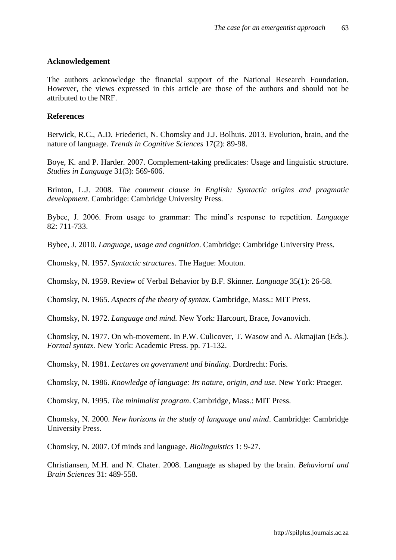## **Acknowledgement**

The authors acknowledge the financial support of the National Research Foundation. However, the views expressed in this article are those of the authors and should not be attributed to the NRF.

### **References**

Berwick, R.C., A.D. Friederici, N. Chomsky and J.J. Bolhuis. 2013. Evolution, brain, and the nature of language. *Trends in Cognitive Sciences* 17(2): 89-98.

Boye, K. and P. Harder. 2007. Complement-taking predicates: Usage and linguistic structure. *Studies in Language* 31(3): 569-606.

Brinton, L.J. 2008. *The comment clause in English: Syntactic origins and pragmatic development.* Cambridge: Cambridge University Press.

Bybee, J. 2006. From usage to grammar: The mind"s response to repetition. *Language* 82: 711-733.

Bybee, J. 2010. *Language, usage and cognition*. Cambridge: Cambridge University Press.

Chomsky, N. 1957. *Syntactic structures*. The Hague: Mouton.

Chomsky, N. 1959. Review of Verbal Behavior by B.F. Skinner. *Language* 35(1): 26-58.

Chomsky, N. 1965. *Aspects of the theory of syntax*. Cambridge, Mass.: MIT Press.

Chomsky, N. 1972. *Language and mind.* New York: Harcourt, Brace, Jovanovich.

Chomsky, N. 1977. On wh-movement. In P.W. Culicover, T. Wasow and A. Akmajian (Eds.). *Formal syntax.* New York: Academic Press. pp. 71-132.

Chomsky, N. 1981. *Lectures on government and binding*. Dordrecht: Foris.

Chomsky, N. 1986. *Knowledge of language: Its nature, origin, and use*. New York: Praeger.

Chomsky, N. 1995. *The minimalist program*. Cambridge, Mass.: MIT Press.

Chomsky, N. 2000. *New horizons in the study of language and mind*. Cambridge: Cambridge University Press.

Chomsky, N. 2007. Of minds and language. *Biolinguistics* 1: 9-27.

Christiansen, M.H. and N. Chater. 2008. Language as shaped by the brain. *Behavioral and Brain Sciences* 31: 489-558.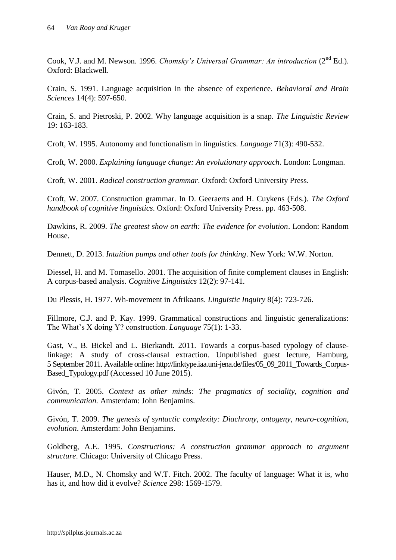Cook, V.J. and M. Newson. 1996. *Chomsky's Universal Grammar: An introduction* (2nd Ed.). Oxford: Blackwell.

Crain, S. 1991. Language acquisition in the absence of experience. *Behavioral and Brain Sciences* 14(4): 597-650.

Crain, S. and Pietroski, P. 2002. Why language acquisition is a snap. *The Linguistic Review* 19: 163-183.

Croft, W. 1995. Autonomy and functionalism in linguistics. *Language* 71(3): 490-532.

Croft, W. 2000. *Explaining language change: An evolutionary approach*. London: Longman.

Croft, W. 2001. *Radical construction grammar*. Oxford: Oxford University Press.

Croft, W. 2007. Construction grammar. In D. Geeraerts and H. Cuykens (Eds.). *The Oxford handbook of cognitive linguistics*. Oxford: Oxford University Press. pp. 463-508.

Dawkins, R. 2009. *The greatest show on earth: The evidence for evolution*. London: Random House.

Dennett, D. 2013. *Intuition pumps and other tools for thinking*. New York: W.W. Norton.

Diessel, H. and M. Tomasello. 2001. The acquisition of finite complement clauses in English: A corpus-based analysis. *Cognitive Linguistics* 12(2): 97-141.

Du Plessis, H. 1977. Wh-movement in Afrikaans. *Linguistic Inquiry* 8(4): 723-726.

Fillmore, C.J. and P. Kay. 1999. Grammatical constructions and linguistic generalizations: The What"s X doing Y? construction. *Language* 75(1): 1-33.

Gast, V., B. Bickel and L. Bierkandt. 2011. Towards a corpus-based typology of clauselinkage: A study of cross-clausal extraction. Unpublished guest lecture, Hamburg, 5 September 2011. Available online: http://linktype.iaa.uni-jena.de/files/05\_09\_2011\_Towards\_Corpus-Based\_Typology.pdf (Accessed 10 June 2015).

Givón, T. 2005. *Context as other minds: The pragmatics of sociality, cognition and communication.* Amsterdam: John Benjamins.

Givón, T. 2009. *The genesis of syntactic complexity: Diachrony, ontogeny, neuro-cognition, evolution*. Amsterdam: John Benjamins.

Goldberg, A.E. 1995. *Constructions: A construction grammar approach to argument structure*. Chicago: University of Chicago Press.

Hauser, M.D., N. Chomsky and W.T. Fitch. 2002. The faculty of language: What it is, who has it, and how did it evolve? *Science* 298: 1569-1579.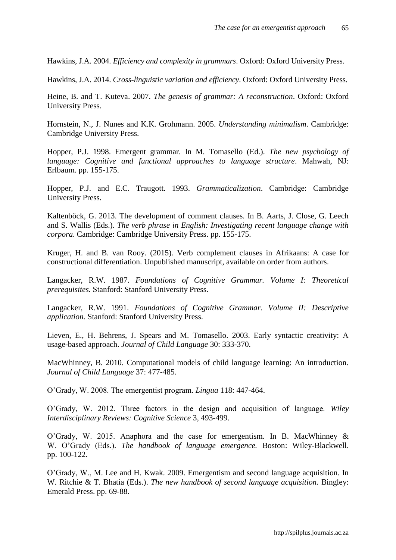Hawkins, J.A. 2004. *Efficiency and complexity in grammars*. Oxford: Oxford University Press.

Hawkins, J.A. 2014. *Cross-linguistic variation and efficiency*. Oxford: Oxford University Press.

Heine, B. and T. Kuteva. 2007. *The genesis of grammar: A reconstruction*. Oxford: Oxford University Press.

Hornstein, N., J. Nunes and K.K. Grohmann. 2005. *Understanding minimalism*. Cambridge: Cambridge University Press.

Hopper, P.J. 1998. Emergent grammar. In M. Tomasello (Ed.). *The new psychology of language: Cognitive and functional approaches to language structure*. Mahwah, NJ: Erlbaum. pp. 155-175.

Hopper, P.J. and E.C. Traugott. 1993. *Grammaticalization*. Cambridge: Cambridge University Press.

Kaltenböck, G. 2013. The development of comment clauses. In B. Aarts, J. Close, G. Leech and S. Wallis (Eds.). *The verb phrase in English: Investigating recent language change with corpora*. Cambridge: Cambridge University Press. pp. 155-175.

Kruger, H. and B. van Rooy. (2015). Verb complement clauses in Afrikaans: A case for constructional differentiation. Unpublished manuscript, available on order from authors.

Langacker, R.W. 1987. *Foundations of Cognitive Grammar. Volume I: Theoretical prerequisites.* Stanford: Stanford University Press.

Langacker, R.W. 1991. *Foundations of Cognitive Grammar. Volume II: Descriptive application.* Stanford: Stanford University Press.

Lieven, E., H. Behrens, J. Spears and M. Tomasello. 2003. Early syntactic creativity: A usage-based approach. *Journal of Child Language* 30: 333-370.

MacWhinney, B. 2010. Computational models of child language learning: An introduction. *Journal of Child Language* 37: 477-485.

O"Grady, W. 2008. The emergentist program. *Lingua* 118: 447-464.

O"Grady, W. 2012. Three factors in the design and acquisition of language. *Wiley Interdisciplinary Reviews: Cognitive Science* 3, 493-499.

O"Grady, W. 2015. Anaphora and the case for emergentism. In B. MacWhinney & W. O"Grady (Eds.). *The handbook of language emergence.* Boston: Wiley-Blackwell. pp. 100-122.

O"Grady, W., M. Lee and H. Kwak. 2009. Emergentism and second language acquisition. In W. Ritchie & T. Bhatia (Eds.). *The new handbook of second language acquisition.* Bingley: Emerald Press. pp. 69-88.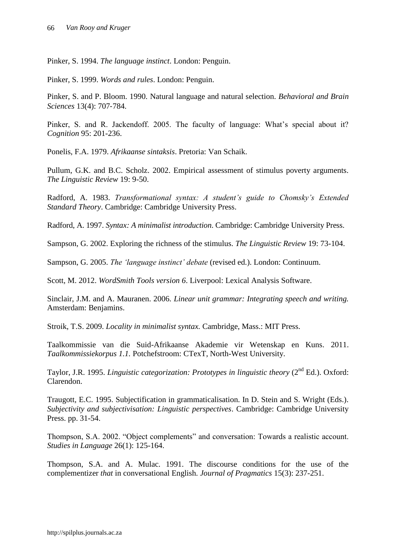Pinker, S. 1994. *The language instinct*. London: Penguin.

Pinker, S. 1999. *Words and rules*. London: Penguin.

Pinker, S. and P. Bloom. 1990. Natural language and natural selection. *Behavioral and Brain Sciences* 13(4): 707‐784.

Pinker, S. and R. Jackendoff. 2005. The faculty of language: What's special about it? *Cognition* 95: 201-236.

Ponelis, F.A. 1979. *Afrikaanse sintaksis*. Pretoria: Van Schaik.

Pullum, G.K. and B.C. Scholz. 2002. Empirical assessment of stimulus poverty arguments. *The Linguistic Review* 19: 9-50.

Radford, A. 1983. *Transformational syntax: A student's guide to Chomsky's Extended Standard Theory*. Cambridge: Cambridge University Press.

Radford, A. 1997. *Syntax: A minimalist introduction*. Cambridge: Cambridge University Press.

Sampson, G. 2002. Exploring the richness of the stimulus. *The Linguistic Review* 19: 73-104.

Sampson, G. 2005. *The 'language instinct' debate* (revised ed.). London: Continuum.

Scott, M. 2012. *WordSmith Tools version 6*. Liverpool: Lexical Analysis Software.

Sinclair, J.M. and A. Mauranen. 2006. *Linear unit grammar: Integrating speech and writing.*  Amsterdam: Benjamins.

Stroik, T.S. 2009. *Locality in minimalist syntax.* Cambridge, Mass.: MIT Press.

Taalkommissie van die Suid-Afrikaanse Akademie vir Wetenskap en Kuns. 2011. *Taalkommissiekorpus 1.1.* Potchefstroom: CTexT, North-West University.

Taylor, J.R. 1995. *Linguistic categorization: Prototypes in linguistic theory* (2<sup>nd</sup> Ed.). Oxford: Clarendon.

Traugott, E.C. 1995. Subjectification in grammaticalisation. In D. Stein and S. Wright (Eds.). *Subjectivity and subjectivisation: Linguistic perspectives*. Cambridge: Cambridge University Press. pp. 31-54.

Thompson, S.A. 2002. "Object complements" and conversation: Towards a realistic account. *Studies in Language* 26(1): 125-164.

Thompson, S.A. and A. Mulac. 1991. The discourse conditions for the use of the complementizer *that* in conversational English. *Journal of Pragmatics* 15(3): 237-251.